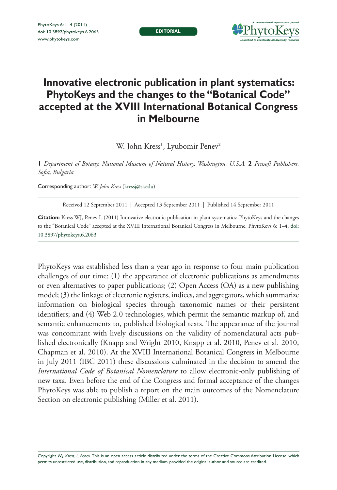**editorial**



## **Innovative electronic publication in plant systematics: PhytoKeys and the changes to the "Botanical Code" accepted at the XVIII International Botanical Congress in Melbourne**

W. John Kress', Lyubomir Penev<sup>2</sup>

**1** *Department of Botany, National Museum of Natural History, Washington, U.S.A.* **2** *Pensoft Publishers, Sofia, Bulgaria*

Corresponding author: *W. John Kress* ([kressj@si.edu](mailto:kressj@si.edu))

Received 12 September 2011 | Accepted 13 September 2011 | Published 14 September 2011

**Citation:** Kress WJ, Penev L (2011) Innovative electronic publication in plant systematics: PhytoKeys and the changes [to the "Botanical Code" accepted at the XVIII International Botanical Congress in Melbourne. PhytoKeys 6: 1–4. doi:](http://dx.doi.org/10.3897/phytokeys.6.2063) 10.3897/phytokeys.6.2063

PhytoKeys was established less than a year ago in response to four main publication challenges of our time: (1) the appearance of electronic publications as amendments or even alternatives to paper publications; (2) Open Access (OA) as a new publishing model; (3) the linkage of electronic registers, indices, and aggregators, which summarize information on biological species through taxonomic names or their persistent identifiers; and (4) Web 2.0 technologies, which permit the semantic markup of, and semantic enhancements to, published biological texts. The appearance of the journal was concomitant with lively discussions on the validity of nomenclatural acts published electronically (Knapp and Wright 2010, Knapp et al. 2010, Penev et al. 2010, Chapman et al. 2010). At the XVIII International Botanical Congress in Melbourne in July 2011 (IBC 2011) these discussions culminated in the decision to amend the *International Code of Botanical Nomenclature* to allow electronic-only publishing of new taxa. Even before the end of the Congress and formal acceptance of the changes PhytoKeys was able to publish a report on the main outcomes of the Nomenclature Section on electronic publishing (Miller et al. 2011).

Copyright *W.J. Kress, L. Penev.* This is an open access article distributed under the terms of the [Creative Commons Attribution License,](http://creativecommons.org/licenses/by/3.0/) which permits unrestricted use, distribution, and reproduction in any medium, provided the original author and source are credited.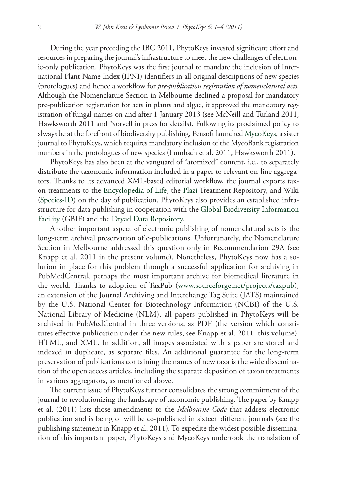During the year preceding the IBC 2011, PhytoKeys invested significant effort and resources in preparing the journal's infrastructure to meet the new challenges of electronic-only publication. PhytoKeys was the first journal to mandate the inclusion of International Plant Name Index (IPNI) identifiers in all original descriptions of new species (protologues) and hence a workflow for *pre-publication registration of nomenclatural acts*. Although the Nomenclature Section in Melbourne declined a proposal for mandatory pre-publication registration for acts in plants and algae, it approved the mandatory registration of fungal names on and after 1 January 2013 (see McNeill and Turland 2011, Hawksworth 2011 and Norvell in press for details). Following its proclaimed policy to always be at the forefront of biodiversity publishing, Pensoft launched [MycoKeys](http://www.pensoft.net/journals/mycokeys), a sister journal to PhytoKeys, which requires mandatory inclusion of the MycoBank registration numbers in the protologues of new species (Lumbsch et al. 2011, Hawksworth 2011).

PhytoKeys has also been at the vanguard of "atomized" content, i.e., to separately distribute the taxonomic information included in a paper to relevant on-line aggregators. Thanks to its advanced XML-based editorial workflow, the journal exports taxon treatments to the [Encyclopedia of Life](http://www.eol.org), the [Plazi](http://www.plazi.org) Treatment Repository, and Wiki ([Species-ID\)](http://www.species-id.net) on the day of publication. PhytoKeys also provides an established infrastructure for data publishing in cooperation with the [Global Biodiversity Information](http://www.gbif.org) [Facility](http://www.gbif.org) (GBIF) and the [Dryad Data Repository.](http://www.datadryad.org)

Another important aspect of electronic publishing of nomenclatural acts is the long-term archival preservation of e-publications. Unfortunately, the Nomenclature Section in Melbourne addressed this question only in Recommendation 29A (see Knapp et al. 2011 in the present volume). Nonetheless, PhytoKeys now has a solution in place for this problem through a successful application for archiving in PubMedCentral, perhaps the most important archive for biomedical literature in the world. Thanks to adoption of TaxPub [\(www.sourceforge.net/projects/taxpub\)](http://www.sourceforge.net/projects/taxpub), an extension of the Journal Archiving and Interchange Tag Suite (JATS) maintained by the U.S. National Center for Biotechnology Information (NCBI) of the U.S. National Library of Medicine (NLM), all papers published in PhytoKeys will be archived in PubMedCentral in three versions, as PDF (the version which constitutes effective publication under the new rules, see Knapp et al. 2011, this volume), HTML, and XML. In addition, all images associated with a paper are stored and indexed in duplicate, as separate files. An additional guarantee for the long-term preservation of publications containing the names of new taxa is the wide dissemination of the open access articles, including the separate deposition of taxon treatments in various aggregators, as mentioned above.

The current issue of PhytoKeys further consolidates the strong commitment of the journal to revolutionizing the landscape of taxonomic publishing. The paper by Knapp et al. (2011) lists those amendments to the *Melbourne Code* that address electronic publication and is being or will be co-published in sixteen different journals (see the publishing statement in Knapp et al. 2011). To expedite the widest possible dissemination of this important paper, PhytoKeys and MycoKeys undertook the translation of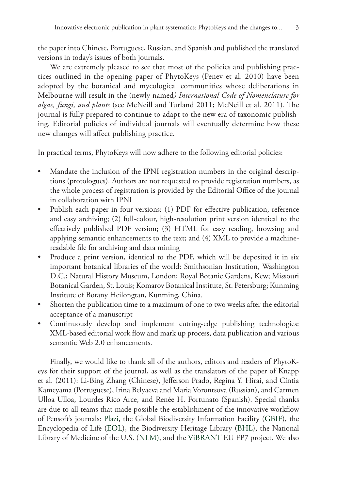the paper into Chinese, Portuguese, Russian, and Spanish and published the translated versions in today's issues of both journals.

We are extremely pleased to see that most of the policies and publishing practices outlined in the opening paper of PhytoKeys (Penev et al. 2010) have been adopted by the botanical and mycological communities whose deliberations in Melbourne will result in the (newly named*) International Code of Nomenclature for algae, fungi, and plants* (see McNeill and Turland 2011; McNeill et al. 2011). The journal is fully prepared to continue to adapt to the new era of taxonomic publishing. Editorial policies of individual journals will eventually determine how these new changes will affect publishing practice.

In practical terms, PhytoKeys will now adhere to the following editorial policies:

- Mandate the inclusion of the IPNI registration numbers in the original descriptions (protologues). Authors are not requested to provide registration numbers, as the whole process of registration is provided by the Editorial Office of the journal in collaboration with IPNI
- Publish each paper in four versions: (1) PDF for effective publication, reference and easy archiving; (2) full-colour, high-resolution print version identical to the effectively published PDF version; (3) HTML for easy reading, browsing and applying semantic enhancements to the text; and (4) XML to provide a machinereadable file for archiving and data mining
- Produce a print version, identical to the PDF, which will be deposited it in six important botanical libraries of the world: Smithsonian Institution, Washington D.C.; Natural History Museum, London; Royal Botanic Gardens, Kew; Missouri Botanical Garden, St. Louis; Komarov Botanical Institute, St. Petersburg; Kunming Institute of Botany Heilongtan, Kunming, China.
- Shorten the publication time to a maximum of one to two weeks after the editorial acceptance of a manuscript
- Continuously develop and implement cutting-edge publishing technologies: XML-based editorial work flow and mark up process, data publication and various semantic Web 2.0 enhancements.

Finally, we would like to thank all of the authors, editors and readers of PhytoKeys for their support of the journal, as well as the translators of the paper of Knapp et al. (2011): Li-Bing Zhang (Chinese), Jefferson Prado, Regina Y. Hirai, and Cíntia Kameyama (Portuguese), Irina Belyaeva and Maria Vorontsova (Russian), and Carmen Ulloa Ulloa, Lourdes Rico Arce, and Renée H. Fortunato (Spanish). Special thanks are due to all teams that made possible the establishment of the innovative workflow of Pensoft's journals: [Plazi,](http://www.plazi.org) the Global Biodiversity Information Facility ([GBIF](http://www.gbif.org)), the Encyclopedia of Life [\(EOL\)](http://www.eol.org), the Biodiversity Heritage Library [\(BHL](http://www.biodiversitylibrary.org)), the National Library of Medicine of the U.S. ([NLM\)](http://www.nlm.nih.gov/), and the [ViBRANT](http://www.vbrant.eu) EU FP7 project. We also